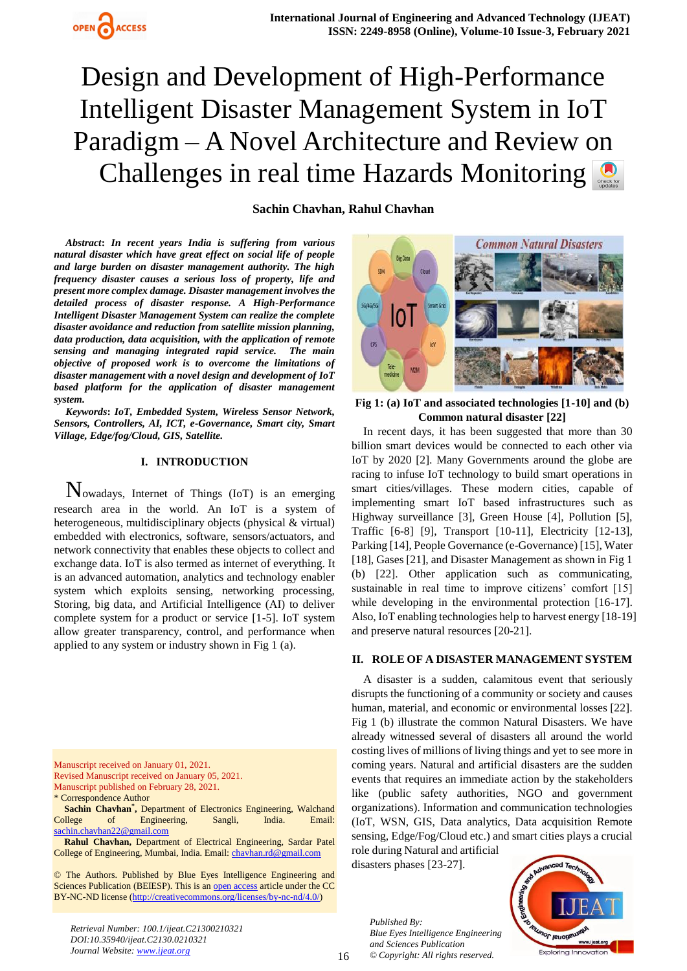

# Design and Development of High-Performance Intelligent Disaster Management System in IoT Paradigm – A Novel Architecture and Review on Challenges in real time Hazards Monitoring

# **Sachin Chavhan, Rahul Chavhan**

*Abstract***:** *In recent years India is suffering from various natural disaster which have great effect on social life of people and large burden on disaster management authority. The high frequency disaster causes a serious loss of property, life and present more complex damage. Disaster management involves the detailed process of disaster response. A High-Performance Intelligent Disaster Management System can realize the complete disaster avoidance and reduction from satellite mission planning, data production, data acquisition, with the application of remote sensing and managing integrated rapid service. The main objective of proposed work is to overcome the limitations of disaster management with a novel design and development of IoT based platform for the application of disaster management system.*

*Keywords***:** *IoT, Embedded System, Wireless Sensor Network, Sensors, Controllers, AI, ICT, e-Governance, Smart city, Smart Village, Edge/fog/Cloud, GIS, Satellite.*

## **I. INTRODUCTION**

Nowadays, Internet of Things (IoT) is an emerging research area in the world. An IoT is a system of heterogeneous, multidisciplinary objects (physical & virtual) embedded with electronics, software, sensors/actuators, and network connectivity that enables these objects to collect and exchange data. IoT is also termed as internet of everything. It is an advanced automation, analytics and technology enabler system which exploits sensing, networking processing, Storing, big data, and Artificial Intelligence (AI) to deliver complete system for a product or service [1-5]. IoT system allow greater transparency, control, and performance when applied to any system or industry shown in Fig 1 (a).

Revised Manuscript received on January 05, 2021. Manuscript published on February 28, 2021.

\* Correspondence Author

**Sachin Chavhan\* ,** Department of Electronics Engineering, Walchand College of Engineering, Sangli, India. Email: [sachin.chavhan22@gmail.com](mailto:sachin.chavhan22@gmail.com)

**Rahul Chavhan,** Department of Electrical Engineering, Sardar Patel College of Engineering, Mumbai, India. Email: [chavhan.rd@gmail.com](mailto:chavhan.rd@gmail.com)

© The Authors. Published by Blue Eyes Intelligence Engineering and Sciences Publication (BEIESP). This is an [open access](https://www.openaccess.nl/en/open-publications) article under the CC BY-NC-ND license [\(http://creativecommons.org/licenses/by-nc-nd/4.0/\)](http://creativecommons.org/licenses/by-nc-nd/4.0/)

*Retrieval Number: 100.1/ijeat.C21300210321 DOI:10.35940/ijeat.C2130.0210321 Journal Website: www.ijeat.org*



**Fig 1: (a) IoT and associated technologies [1-10] and (b) Common natural disaster [22]**

In recent days, it has been suggested that more than 30 billion smart devices would be connected to each other via IoT by 2020 [2]. Many Governments around the globe are racing to infuse IoT technology to build smart operations in smart cities/villages. These modern cities, capable of implementing smart IoT based infrastructures such as Highway surveillance [3], Green House [4], Pollution [5], Traffic [6-8] [9], Transport [10-11], Electricity [12-13], Parking [14], People Governance (e-Governance) [15], Water [18], Gases [21], and Disaster Management as shown in Fig 1 (b) [22]. Other application such as communicating, sustainable in real time to improve citizens' comfort [15] while developing in the environmental protection [16-17]. Also, IoT enabling technologies help to harvest energy [18-19] and preserve natural resources [20-21].

#### **II. ROLE OF A DISASTER MANAGEMENT SYSTEM**

A disaster is a sudden, calamitous event that seriously disrupts the functioning of a community or society and causes human, material, and economic or environmental losses [22]. Fig 1 (b) illustrate the common Natural Disasters. We have already witnessed several of disasters all around the world costing lives of millions of living things and yet to see more in coming years. Natural and artificial disasters are the sudden events that requires an immediate action by the stakeholders like (public safety authorities, NGO and government organizations). Information and communication technologies (IoT, WSN, GIS, Data analytics, Data acquisition Remote sensing, Edge/Fog/Cloud etc.) and smart cities plays a crucial

role during Natural and artificial disasters phases [23-27].

*Published By: Blue Eyes Intelligence Engineering and Sciences Publication © Copyright: All rights reserved.*



Manuscript received on January 01, 2021.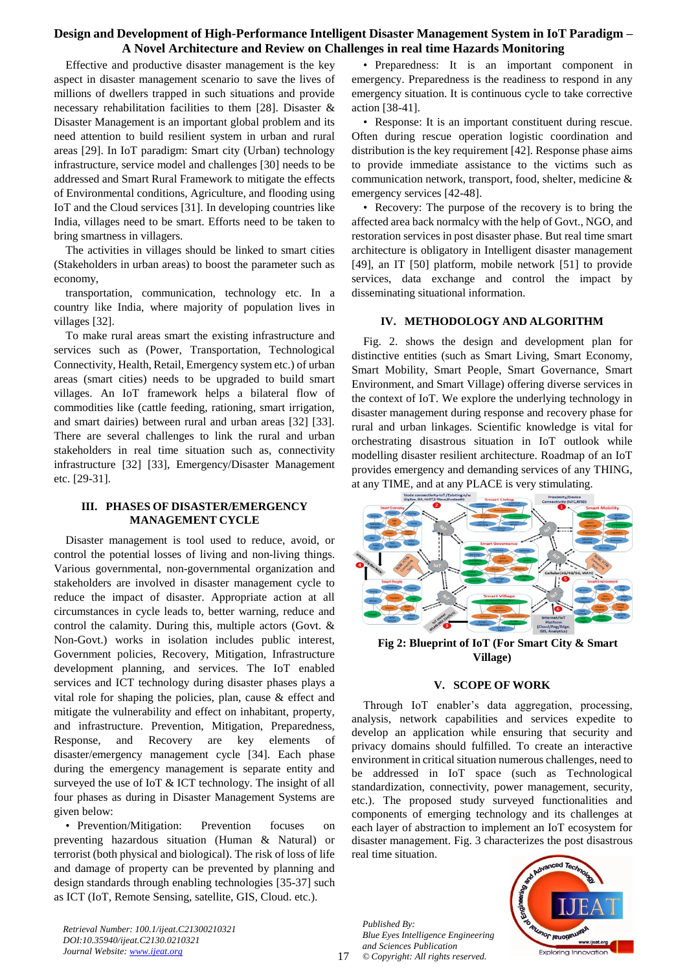# **Design and Development of High-Performance Intelligent Disaster Management System in IoT Paradigm – A Novel Architecture and Review on Challenges in real time Hazards Monitoring**

Effective and productive disaster management is the key aspect in disaster management scenario to save the lives of millions of dwellers trapped in such situations and provide necessary rehabilitation facilities to them [28]. Disaster & Disaster Management is an important global problem and its need attention to build resilient system in urban and rural areas [29]. In IoT paradigm: Smart city (Urban) technology infrastructure, service model and challenges [30] needs to be addressed and Smart Rural Framework to mitigate the effects of Environmental conditions, Agriculture, and flooding using IoT and the Cloud services [31]. In developing countries like India, villages need to be smart. Efforts need to be taken to bring smartness in villagers.

The activities in villages should be linked to smart cities (Stakeholders in urban areas) to boost the parameter such as economy,

transportation, communication, technology etc. In a country like India, where majority of population lives in villages [32].

To make rural areas smart the existing infrastructure and services such as (Power, Transportation, Technological Connectivity, Health, Retail, Emergency system etc.) of urban areas (smart cities) needs to be upgraded to build smart villages. An IoT framework helps a bilateral flow of commodities like (cattle feeding, rationing, smart irrigation, and smart dairies) between rural and urban areas [32] [33]. There are several challenges to link the rural and urban stakeholders in real time situation such as, connectivity infrastructure [32] [33], Emergency/Disaster Management etc. [29-31].

## **III. PHASES OF DISASTER/EMERGENCY MANAGEMENT CYCLE**

Disaster management is tool used to reduce, avoid, or control the potential losses of living and non-living things. Various governmental, non-governmental organization and stakeholders are involved in disaster management cycle to reduce the impact of disaster. Appropriate action at all circumstances in cycle leads to, better warning, reduce and control the calamity. During this, multiple actors (Govt. & Non-Govt.) works in isolation includes public interest, Government policies, Recovery, Mitigation, Infrastructure development planning, and services. The IoT enabled services and ICT technology during disaster phases plays a vital role for shaping the policies, plan, cause & effect and mitigate the vulnerability and effect on inhabitant, property, and infrastructure. Prevention, Mitigation, Preparedness, Response, and Recovery are key elements of disaster/emergency management cycle [34]. Each phase during the emergency management is separate entity and surveyed the use of IoT & ICT technology. The insight of all four phases as during in Disaster Management Systems are given below:

• Prevention/Mitigation: Prevention focuses on preventing hazardous situation (Human & Natural) or terrorist (both physical and biological). The risk of loss of life and damage of property can be prevented by planning and design standards through enabling technologies [35-37] such as ICT (IoT, Remote Sensing, satellite, GIS, Cloud. etc.).

*Retrieval Number: 100.1/ijeat.C21300210321 DOI:10.35940/ijeat.C2130.0210321 Journal Website: www.ijeat.org*

• Preparedness: It is an important component in emergency. Preparedness is the readiness to respond in any emergency situation. It is continuous cycle to take corrective action [38-41].

• Response: It is an important constituent during rescue. Often during rescue operation logistic coordination and distribution is the key requirement [42]. Response phase aims to provide immediate assistance to the victims such as communication network, transport, food, shelter, medicine & emergency services [42-48].

• Recovery: The purpose of the recovery is to bring the affected area back normalcy with the help of Govt., NGO, and restoration services in post disaster phase. But real time smart architecture is obligatory in Intelligent disaster management [49], an IT [50] platform, mobile network [51] to provide services, data exchange and control the impact by disseminating situational information.

## **IV. METHODOLOGY AND ALGORITHM**

Fig. 2. shows the design and development plan for distinctive entities (such as Smart Living, Smart Economy, Smart Mobility, Smart People, Smart Governance, Smart Environment, and Smart Village) offering diverse services in the context of IoT. We explore the underlying technology in disaster management during response and recovery phase for rural and urban linkages. Scientific knowledge is vital for orchestrating disastrous situation in IoT outlook while modelling disaster resilient architecture. Roadmap of an IoT provides emergency and demanding services of any THING, at any TIME, and at any PLACE is very stimulating.



**Fig 2: Blueprint of IoT (For Smart City & Smart Village)**

#### **V. SCOPE OF WORK**

Through IoT enabler's data aggregation, processing, analysis, network capabilities and services expedite to develop an application while ensuring that security and privacy domains should fulfilled. To create an interactive environment in critical situation numerous challenges, need to be addressed in IoT space (such as Technological standardization, connectivity, power management, security, etc.). The proposed study surveyed functionalities and components of emerging technology and its challenges at each layer of abstraction to implement an IoT ecosystem for disaster management. Fig. 3 characterizes the post disastrous real time situation.

*Published By: Blue Eyes Intelligence Engineering and Sciences Publication © Copyright: All rights reserved.*



17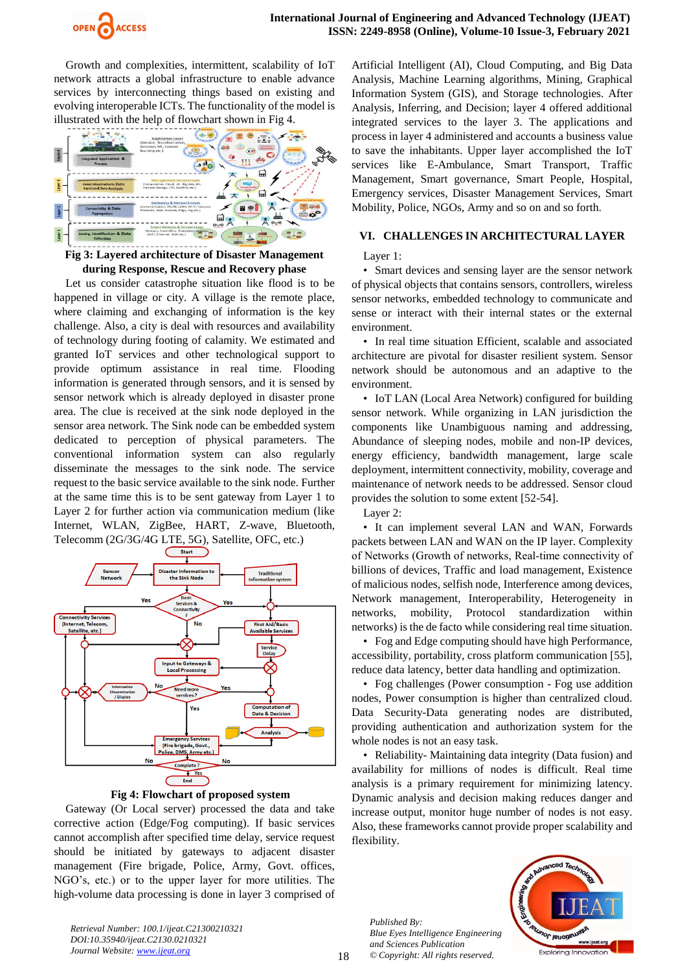

Growth and complexities, intermittent, scalability of IoT network attracts a global infrastructure to enable advance services by interconnecting things based on existing and evolving interoperable ICTs. The functionality of the model is illustrated with the help of flowchart shown in Fig 4.



**Fig 3: Layered architecture of Disaster Management during Response, Rescue and Recovery phase**

Let us consider catastrophe situation like flood is to be happened in village or city. A village is the remote place, where claiming and exchanging of information is the key challenge. Also, a city is deal with resources and availability of technology during footing of calamity. We estimated and granted IoT services and other technological support to provide optimum assistance in real time. Flooding information is generated through sensors, and it is sensed by sensor network which is already deployed in disaster prone area. The clue is received at the sink node deployed in the sensor area network. The Sink node can be embedded system dedicated to perception of physical parameters. The conventional information system can also regularly disseminate the messages to the sink node. The service request to the basic service available to the sink node. Further at the same time this is to be sent gateway from Layer 1 to Layer 2 for further action via communication medium (like Internet, WLAN, ZigBee, HART, Z-wave, Bluetooth, Telecomm (2G/3G/4G LTE, 5G), Satellite, OFC, etc.)





Gateway (Or Local server) processed the data and take corrective action (Edge/Fog computing). If basic services cannot accomplish after specified time delay, service request should be initiated by gateways to adjacent disaster management (Fire brigade, Police, Army, Govt. offices, NGO's, etc.) or to the upper layer for more utilities. The high-volume data processing is done in layer 3 comprised of

Artificial Intelligent (AI), Cloud Computing, and Big Data Analysis, Machine Learning algorithms, Mining, Graphical Information System (GIS), and Storage technologies. After Analysis, Inferring, and Decision; layer 4 offered additional integrated services to the layer 3. The applications and process in layer 4 administered and accounts a business value to save the inhabitants. Upper layer accomplished the IoT services like E-Ambulance, Smart Transport, Traffic Management, Smart governance, Smart People, Hospital, Emergency services, Disaster Management Services, Smart Mobility, Police, NGOs, Army and so on and so forth.

## **VI. CHALLENGES IN ARCHITECTURAL LAYER**

Layer 1:

• Smart devices and sensing layer are the sensor network of physical objects that contains sensors, controllers, wireless sensor networks, embedded technology to communicate and sense or interact with their internal states or the external environment.

• In real time situation Efficient, scalable and associated architecture are pivotal for disaster resilient system. Sensor network should be autonomous and an adaptive to the environment.

• IoT LAN (Local Area Network) configured for building sensor network. While organizing in LAN jurisdiction the components like Unambiguous naming and addressing, Abundance of sleeping nodes, mobile and non-IP devices, energy efficiency, bandwidth management, large scale deployment, intermittent connectivity, mobility, coverage and maintenance of network needs to be addressed. Sensor cloud provides the solution to some extent [52-54].

Layer 2:

• It can implement several LAN and WAN, Forwards packets between LAN and WAN on the IP layer. Complexity of Networks (Growth of networks, Real‐time connectivity of billions of devices, Traffic and load management, Existence of malicious nodes, selfish node, Interference among devices, Network management, Interoperability, Heterogeneity in networks, mobility, Protocol standardization within networks) is the de facto while considering real time situation.

• Fog and Edge computing should have high Performance, accessibility, portability, cross platform communication [55], reduce data latency, better data handling and optimization.

• Fog challenges (Power consumption - Fog use addition nodes, Power consumption is higher than centralized cloud. Data Security-Data generating nodes are distributed, providing authentication and authorization system for the whole nodes is not an easy task.

• Reliability- Maintaining data integrity (Data fusion) and availability for millions of nodes is difficult. Real time analysis is a primary requirement for minimizing latency. Dynamic analysis and decision making reduces danger and increase output, monitor huge number of nodes is not easy. Also, these frameworks cannot provide proper scalability and flexibility.

*Published By: Blue Eyes Intelligence Engineering and Sciences Publication © Copyright: All rights reserved.*



*Retrieval Number: 100.1/ijeat.C21300210321 DOI:10.35940/ijeat.C2130.0210321 Journal Website: www.ijeat.org*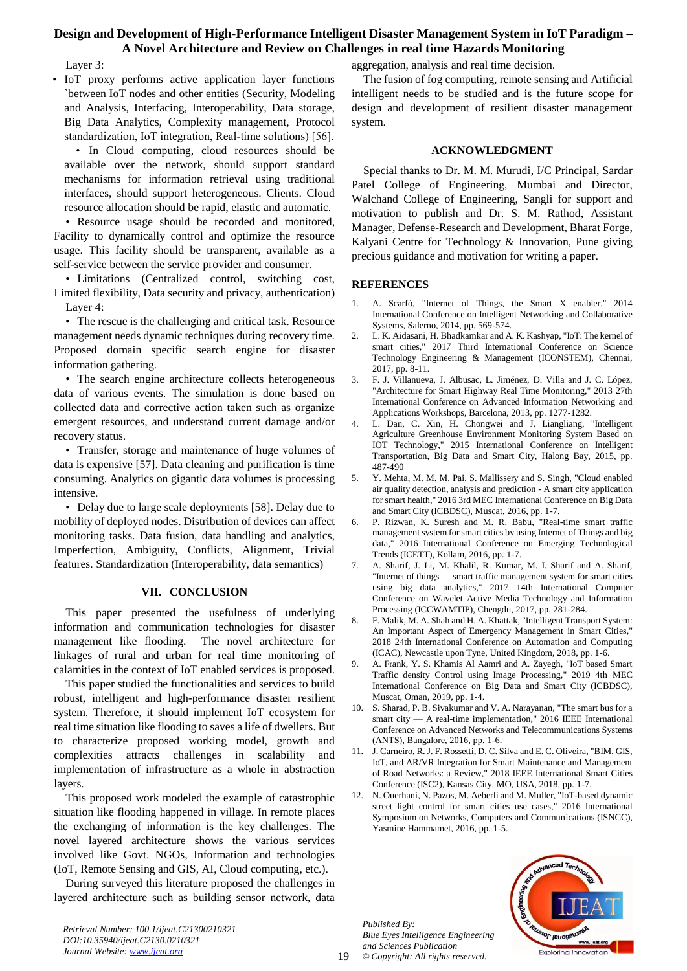# **Design and Development of High-Performance Intelligent Disaster Management System in IoT Paradigm – A Novel Architecture and Review on Challenges in real time Hazards Monitoring**

Layer 3:

• IoT proxy performs active application layer functions `between IoT nodes and other entities (Security, Modeling and Analysis, Interfacing, Interoperability, Data storage, Big Data Analytics, Complexity management, Protocol standardization, IoT integration, Real‐time solutions) [56].

• In Cloud computing, cloud resources should be available over the network, should support standard mechanisms for information retrieval using traditional interfaces, should support heterogeneous. Clients. Cloud resource allocation should be rapid, elastic and automatic.

• Resource usage should be recorded and monitored, Facility to dynamically control and optimize the resource usage. This facility should be transparent, available as a self-service between the service provider and consumer.

• Limitations (Centralized control, switching cost, Limited flexibility, Data security and privacy, authentication) Layer 4:

• The rescue is the challenging and critical task. Resource management needs dynamic techniques during recovery time. Proposed domain specific search engine for disaster information gathering.

• The search engine architecture collects heterogeneous data of various events. The simulation is done based on collected data and corrective action taken such as organize emergent resources, and understand current damage and/or recovery status.

• Transfer, storage and maintenance of huge volumes of data is expensive [57]. Data cleaning and purification is time consuming. Analytics on gigantic data volumes is processing intensive.

• Delay due to large scale deployments [58]. Delay due to mobility of deployed nodes. Distribution of devices can affect monitoring tasks. Data fusion, data handling and analytics, Imperfection, Ambiguity, Conflicts, Alignment, Trivial features. Standardization (Interoperability, data semantics)

#### **VII. CONCLUSION**

This paper presented the usefulness of underlying information and communication technologies for disaster management like flooding. The novel architecture for linkages of rural and urban for real time monitoring of calamities in the context of IoT enabled services is proposed.

This paper studied the functionalities and services to build robust, intelligent and high-performance disaster resilient system. Therefore, it should implement IoT ecosystem for real time situation like flooding to saves a life of dwellers. But to characterize proposed working model, growth and complexities attracts challenges in scalability and implementation of infrastructure as a whole in abstraction layers.

This proposed work modeled the example of catastrophic situation like flooding happened in village. In remote places the exchanging of information is the key challenges. The novel layered architecture shows the various services involved like Govt. NGOs, Information and technologies (IoT, Remote Sensing and GIS, AI, Cloud computing, etc.).

During surveyed this literature proposed the challenges in layered architecture such as building sensor network, data

*Retrieval Number: 100.1/ijeat.C21300210321 DOI:10.35940/ijeat.C2130.0210321 Journal Website: www.ijeat.org*

aggregation, analysis and real time decision.

The fusion of fog computing, remote sensing and Artificial intelligent needs to be studied and is the future scope for design and development of resilient disaster management system.

#### **ACKNOWLEDGMENT**

Special thanks to Dr. M. M. Murudi, I/C Principal, Sardar Patel College of Engineering, Mumbai and Director, Walchand College of Engineering, Sangli for support and motivation to publish and Dr. S. M. Rathod, Assistant Manager, Defense-Research and Development, Bharat Forge, Kalyani Centre for Technology & Innovation, Pune giving precious guidance and motivation for writing a paper.

## **REFERENCES**

- 1. A. Scarfò, "Internet of Things, the Smart X enabler," 2014 International Conference on Intelligent Networking and Collaborative Systems, Salerno, 2014, pp. 569-574.
- 2. L. K. Aidasani, H. Bhadkamkar and A. K. Kashyap, "IoT: The kernel of smart cities," 2017 Third International Conference on Science Technology Engineering & Management (ICONSTEM), Chennai, 2017, pp. 8-11.
- 3. F. J. Villanueva, J. Albusac, L. Jiménez, D. Villa and J. C. López, "Architecture for Smart Highway Real Time Monitoring," 2013 27th International Conference on Advanced Information Networking and Applications Workshops, Barcelona, 2013, pp. 1277-1282.
- 4. L. Dan, C. Xin, H. Chongwei and J. Liangliang, "Intelligent Agriculture Greenhouse Environment Monitoring System Based on IOT Technology," 2015 International Conference on Intelligent Transportation, Big Data and Smart City, Halong Bay, 2015, pp. 487-490
- 5. Y. Mehta, M. M. M. Pai, S. Mallissery and S. Singh, "Cloud enabled air quality detection, analysis and prediction - A smart city application for smart health," 2016 3rd MEC International Conference on Big Data and Smart City (ICBDSC), Muscat, 2016, pp. 1-7.
- 6. P. Rizwan, K. Suresh and M. R. Babu, "Real-time smart traffic management system for smart cities by using Internet of Things and big data," 2016 International Conference on Emerging Technological Trends (ICETT), Kollam, 2016, pp. 1-7.
- 7. A. Sharif, J. Li, M. Khalil, R. Kumar, M. I. Sharif and A. Sharif, "Internet of things — smart traffic management system for smart cities using big data analytics," 2017 14th International Computer Conference on Wavelet Active Media Technology and Information Processing (ICCWAMTIP), Chengdu, 2017, pp. 281-284.
- 8. F. Malik, M. A. Shah and H. A. Khattak, "Intelligent Transport System: An Important Aspect of Emergency Management in Smart Cities," 2018 24th International Conference on Automation and Computing (ICAC), Newcastle upon Tyne, United Kingdom, 2018, pp. 1-6.
- 9. A. Frank, Y. S. Khamis Al Aamri and A. Zayegh, "IoT based Smart Traffic density Control using Image Processing," 2019 4th MEC International Conference on Big Data and Smart City (ICBDSC), Muscat, Oman, 2019, pp. 1-4.
- 10. S. Sharad, P. B. Sivakumar and V. A. Narayanan, "The smart bus for a smart city — A real-time implementation," 2016 IEEE International Conference on Advanced Networks and Telecommunications Systems (ANTS), Bangalore, 2016, pp. 1-6.
- 11. J. Carneiro, R. J. F. Rossetti, D. C. Silva and E. C. Oliveira, "BIM, GIS, IoT, and AR/VR Integration for Smart Maintenance and Management of Road Networks: a Review," 2018 IEEE International Smart Cities Conference (ISC2), Kansas City, MO, USA, 2018, pp. 1-7.
- 12. N. Ouerhani, N. Pazos, M. Aeberli and M. Muller, "IoT-based dynamic street light control for smart cities use cases," 2016 International Symposium on Networks, Computers and Communications (ISNCC), Yasmine Hammamet, 2016, pp. 1-5.

*Published By: Blue Eyes Intelligence Engineering and Sciences Publication © Copyright: All rights reserved.*

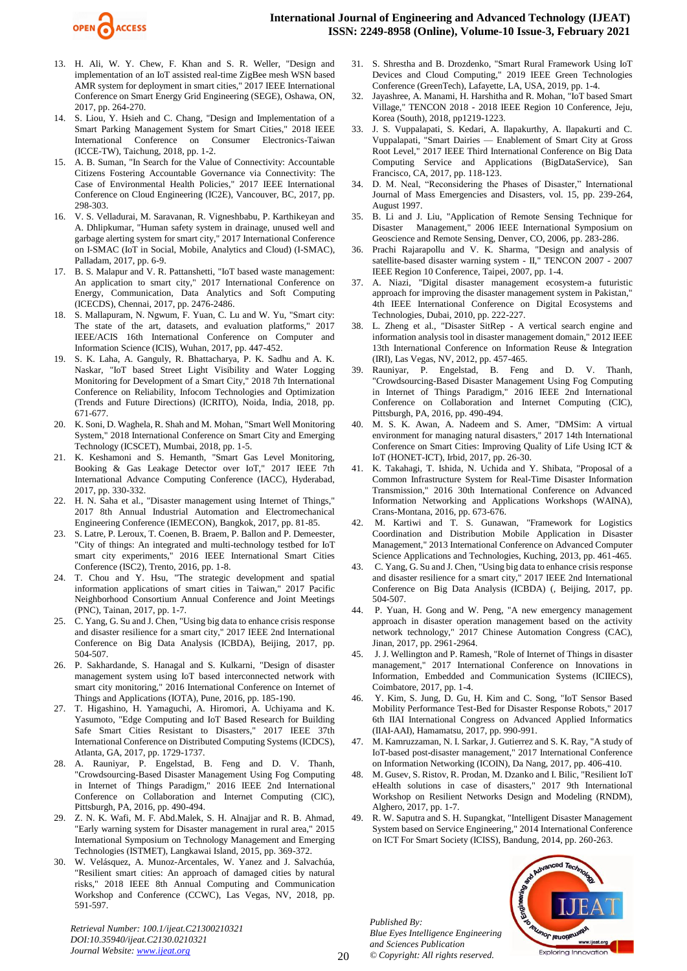

- 13. H. Ali, W. Y. Chew, F. Khan and S. R. Weller, "Design and implementation of an IoT assisted real-time ZigBee mesh WSN based AMR system for deployment in smart cities," 2017 IEEE International Conference on Smart Energy Grid Engineering (SEGE), Oshawa, ON, 2017, pp. 264-270.
- 14. S. Liou, Y. Hsieh and C. Chang, "Design and Implementation of a Smart Parking Management System for Smart Cities," 2018 IEEE International Conference on Consumer Electronics-Taiwan (ICCE-TW), Taichung, 2018, pp. 1-2.
- 15. A. B. Suman, "In Search for the Value of Connectivity: Accountable Citizens Fostering Accountable Governance via Connectivity: The Case of Environmental Health Policies," 2017 IEEE International Conference on Cloud Engineering (IC2E), Vancouver, BC, 2017, pp. 298-303.
- 16. V. S. Velladurai, M. Saravanan, R. Vigneshbabu, P. Karthikeyan and A. Dhlipkumar, "Human safety system in drainage, unused well and garbage alerting system for smart city," 2017 International Conference on I-SMAC (IoT in Social, Mobile, Analytics and Cloud) (I-SMAC), Palladam, 2017, pp. 6-9.
- 17. B. S. Malapur and V. R. Pattanshetti, "IoT based waste management: An application to smart city," 2017 International Conference on Energy, Communication, Data Analytics and Soft Computing (ICECDS), Chennai, 2017, pp. 2476-2486.
- 18. S. Mallapuram, N. Ngwum, F. Yuan, C. Lu and W. Yu, "Smart city: The state of the art, datasets, and evaluation platforms," 2017 IEEE/ACIS 16th International Conference on Computer and Information Science (ICIS), Wuhan, 2017, pp. 447-452.
- 19. S. K. Laha, A. Ganguly, R. Bhattacharya, P. K. Sadhu and A. K. Naskar, "IoT based Street Light Visibility and Water Logging Monitoring for Development of a Smart City," 2018 7th International Conference on Reliability, Infocom Technologies and Optimization (Trends and Future Directions) (ICRITO), Noida, India, 2018, pp. 671-677.
- 20. K. Soni, D. Waghela, R. Shah and M. Mohan, "Smart Well Monitoring System," 2018 International Conference on Smart City and Emerging Technology (ICSCET), Mumbai, 2018, pp. 1-5.
- 21. K. Keshamoni and S. Hemanth, "Smart Gas Level Monitoring, Booking & Gas Leakage Detector over IoT," 2017 IEEE 7th International Advance Computing Conference (IACC), Hyderabad, 2017, pp. 330-332.
- 22. H. N. Saha et al., "Disaster management using Internet of Things," 2017 8th Annual Industrial Automation and Electromechanical Engineering Conference (IEMECON), Bangkok, 2017, pp. 81-85.
- 23. S. Latre, P. Leroux, T. Coenen, B. Braem, P. Ballon and P. Demeester, "City of things: An integrated and multi-technology testbed for IoT smart city experiments," 2016 IEEE International Smart Cities Conference (ISC2), Trento, 2016, pp. 1-8.
- 24. T. Chou and Y. Hsu, "The strategic development and spatial information applications of smart cities in Taiwan," 2017 Pacific Neighborhood Consortium Annual Conference and Joint Meetings (PNC), Tainan, 2017, pp. 1-7.
- 25. C. Yang, G. Su and J. Chen, "Using big data to enhance crisis response and disaster resilience for a smart city," 2017 IEEE 2nd International Conference on Big Data Analysis (ICBDA), Beijing, 2017, pp. 504-507.
- 26. P. Sakhardande, S. Hanagal and S. Kulkarni, "Design of disaster management system using IoT based interconnected network with smart city monitoring," 2016 International Conference on Internet of Things and Applications (IOTA), Pune, 2016, pp. 185-190.
- 27. T. Higashino, H. Yamaguchi, A. Hiromori, A. Uchiyama and K. Yasumoto, "Edge Computing and IoT Based Research for Building Safe Smart Cities Resistant to Disasters," 2017 IEEE 37th International Conference on Distributed Computing Systems (ICDCS), Atlanta, GA, 2017, pp. 1729-1737.
- 28. A. Rauniyar, P. Engelstad, B. Feng and D. V. Thanh, "Crowdsourcing-Based Disaster Management Using Fog Computing in Internet of Things Paradigm," 2016 IEEE 2nd International Conference on Collaboration and Internet Computing (CIC), Pittsburgh, PA, 2016, pp. 490-494.
- 29. Z. N. K. Wafi, M. F. Abd.Malek, S. H. Alnajjar and R. B. Ahmad, "Early warning system for Disaster management in rural area," 2015 International Symposium on Technology Management and Emerging Technologies (ISTMET), Langkawai Island, 2015, pp. 369-372.
- 30. W. Velásquez, A. Munoz-Arcentales, W. Yanez and J. Salvachúa, "Resilient smart cities: An approach of damaged cities by natural risks," 2018 IEEE 8th Annual Computing and Communication Workshop and Conference (CCWC), Las Vegas, NV, 2018, pp. 591-597.

*Retrieval Number: 100.1/ijeat.C21300210321 DOI:10.35940/ijeat.C2130.0210321 Journal Website: www.ijeat.org*

- 31. S. Shrestha and B. Drozdenko, "Smart Rural Framework Using IoT Devices and Cloud Computing," 2019 IEEE Green Technologies Conference (GreenTech), Lafayette, LA, USA, 2019, pp. 1-4.
- 32. Jayashree, A. Manami, H. Harshitha and R. Mohan, "IoT based Smart Village," TENCON 2018 - 2018 IEEE Region 10 Conference, Jeju, Korea (South), 2018, pp1219-1223.
- 33. J. S. Vuppalapati, S. Kedari, A. Ilapakurthy, A. Ilapakurti and C. Vuppalapati, "Smart Dairies — Enablement of Smart City at Gross Root Level," 2017 IEEE Third International Conference on Big Data Computing Service and Applications (BigDataService), San Francisco, CA, 2017, pp. 118-123.
- 34. D. M. Neal, "Reconsidering the Phases of Disaster," International Journal of Mass Emergencies and Disasters, vol. 15, pp. 239-264, August 1997.
- 35. B. Li and J. Liu, "Application of Remote Sensing Technique for Disaster Management," 2006 IEEE International Symposium on Geoscience and Remote Sensing, Denver, CO, 2006, pp. 283-286.
- 36. Prachi Rajarapollu and V. K. Sharma, "Design and analysis of satellite-based disaster warning system - II," TENCON 2007 - 2007 IEEE Region 10 Conference, Taipei, 2007, pp. 1-4.
- 37. A. Niazi, "Digital disaster management ecosystem-a futuristic approach for improving the disaster management system in Pakistan," 4th IEEE International Conference on Digital Ecosystems and Technologies, Dubai, 2010, pp. 222-227.
- L. Zheng et al., "Disaster SitRep A vertical search engine and information analysis tool in disaster management domain," 2012 IEEE 13th International Conference on Information Reuse & Integration (IRI), Las Vegas, NV, 2012, pp. 457-465.
- 39. Rauniyar, P. Engelstad, B. Feng and D. V. Thanh, "Crowdsourcing-Based Disaster Management Using Fog Computing in Internet of Things Paradigm," 2016 IEEE 2nd International Conference on Collaboration and Internet Computing (CIC), Pittsburgh, PA, 2016, pp. 490-494.
- 40. M. S. K. Awan, A. Nadeem and S. Amer, "DMSim: A virtual environment for managing natural disasters," 2017 14th International Conference on Smart Cities: Improving Quality of Life Using ICT & IoT (HONET-ICT), Irbid, 2017, pp. 26-30.
- 41. K. Takahagi, T. Ishida, N. Uchida and Y. Shibata, "Proposal of a Common Infrastructure System for Real-Time Disaster Information Transmission," 2016 30th International Conference on Advanced Information Networking and Applications Workshops (WAINA), Crans-Montana, 2016, pp. 673-676.
- 42. M. Kartiwi and T. S. Gunawan, "Framework for Logistics Coordination and Distribution Mobile Application in Disaster Management," 2013 International Conference on Advanced Computer Science Applications and Technologies, Kuching, 2013, pp. 461-465.
- 43. C. Yang, G. Su and J. Chen, "Using big data to enhance crisis response and disaster resilience for a smart city," 2017 IEEE 2nd International Conference on Big Data Analysis (ICBDA) (, Beijing, 2017, pp. 504-507.
- 44. P. Yuan, H. Gong and W. Peng, "A new emergency management approach in disaster operation management based on the activity network technology," 2017 Chinese Automation Congress (CAC), Jinan, 2017, pp. 2961-2964.
- 45. J. J. Wellington and P. Ramesh, "Role of Internet of Things in disaster management," 2017 International Conference on Innovations in Information, Embedded and Communication Systems (ICIIECS), Coimbatore, 2017, pp. 1-4.
- 46. Y. Kim, S. Jung, D. Gu, H. Kim and C. Song, "IoT Sensor Based Mobility Performance Test-Bed for Disaster Response Robots," 2017 6th IIAI International Congress on Advanced Applied Informatics (IIAI-AAI), Hamamatsu, 2017, pp. 990-991.
- 47. M. Kamruzzaman, N. I. Sarkar, J. Gutierrez and S. K. Ray, "A study of IoT-based post-disaster management," 2017 International Conference on Information Networking (ICOIN), Da Nang, 2017, pp. 406-410.
- 48. M. Gusev, S. Ristov, R. Prodan, M. Dzanko and I. Bilic, "Resilient IoT eHealth solutions in case of disasters," 2017 9th International Workshop on Resilient Networks Design and Modeling (RNDM), Alghero, 2017, pp. 1-7.
- 49. R. W. Saputra and S. H. Supangkat, "Intelligent Disaster Management System based on Service Engineering," 2014 International Conference on ICT For Smart Society (ICISS), Bandung, 2014, pp. 260-263.

*Published By: Blue Eyes Intelligence Engineering and Sciences Publication © Copyright: All rights reserved.*



20